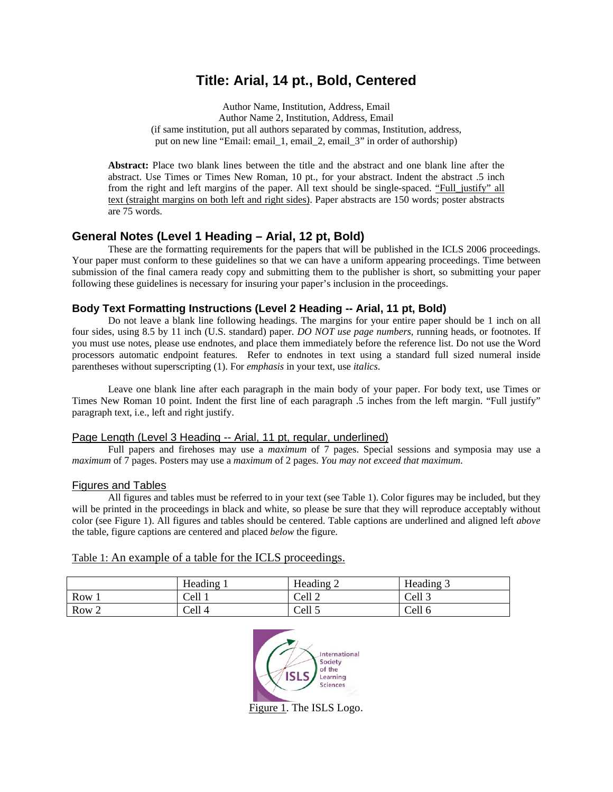# **Title: Arial, 14 pt., Bold, Centered**

Author Name, Institution, Address, Email Author Name 2, Institution, Address, Email (if same institution, put all authors separated by commas, Institution, address, put on new line "Email: email\_1, email\_2, email\_3" in order of authorship)

**Abstract:** Place two blank lines between the title and the abstract and one blank line after the abstract. Use Times or Times New Roman, 10 pt., for your abstract. Indent the abstract .5 inch from the right and left margins of the paper. All text should be single-spaced. "Full\_justify" all text (straight margins on both left and right sides). Paper abstracts are 150 words; poster abstracts are 75 words.

# **General Notes (Level 1 Heading – Arial, 12 pt, Bold)**

 These are the formatting requirements for the papers that will be published in the ICLS 2006 proceedings. Your paper must conform to these guidelines so that we can have a uniform appearing proceedings. Time between submission of the final camera ready copy and submitting them to the publisher is short, so submitting your paper following these guidelines is necessary for insuring your paper's inclusion in the proceedings.

# **Body Text Formatting Instructions (Level 2 Heading -- Arial, 11 pt, Bold)**

Do not leave a blank line following headings. The margins for your entire paper should be 1 inch on all four sides, using 8.5 by 11 inch (U.S. standard) paper. *DO NOT use page numbers*, running heads, or footnotes. If you must use notes, please use endnotes, and place them immediately before the reference list. Do not use the Word processors automatic endpoint features. Refer to endnotes in text using a standard full sized numeral inside parentheses without superscripting (1). For *emphasis* in your text, use *italics*.

 Leave one blank line after each paragraph in the main body of your paper. For body text, use Times or Times New Roman 10 point. Indent the first line of each paragraph .5 inches from the left margin. "Full justify" paragraph text, i.e., left and right justify.

## Page Length (Level 3 Heading -- Arial, 11 pt, regular, underlined)

Full papers and firehoses may use a *maximum* of 7 pages. Special sessions and symposia may use a *maximum* of 7 pages. Posters may use a *maximum* of 2 pages. *You may not exceed that maximum*.

## Figures and Tables

 All figures and tables must be referred to in your text (see Table 1). Color figures may be included, but they will be printed in the proceedings in black and white, so please be sure that they will reproduce acceptably without color (see Figure 1). All figures and tables should be centered. Table captions are underlined and aligned left *above*  the table, figure captions are centered and placed *below* the figure.

| Table 1: An example of a table for the ICLS proceedings. |  |  |
|----------------------------------------------------------|--|--|
|                                                          |  |  |

|       | Heading | Heading 2 | Heading 3 |
|-------|---------|-----------|-----------|
| Row   | Cell 1  | Cell 2    | Cell 3    |
| Row 2 | Cell 4  | Cell 5    | Cell 6    |